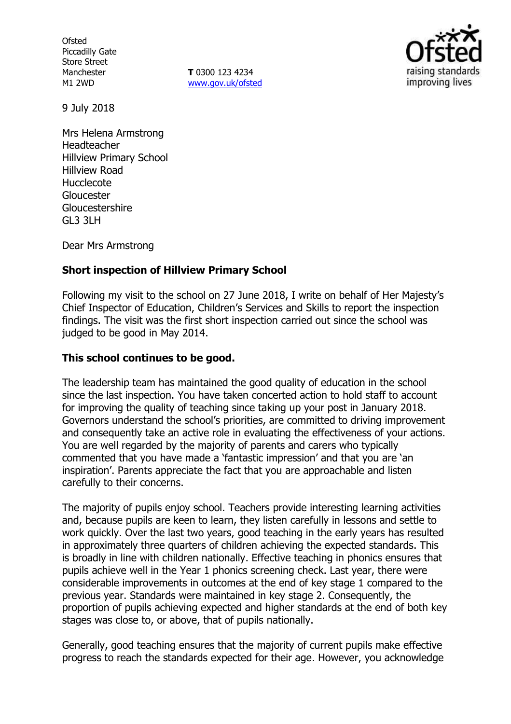**Ofsted** Piccadilly Gate Store Street Manchester M1 2WD

**T** 0300 123 4234 www.gov.uk/ofsted



9 July 2018

Mrs Helena Armstrong Headteacher Hillview Primary School Hillview Road Hucclecote Gloucester Gloucestershire GL3 3LH

Dear Mrs Armstrong

## **Short inspection of Hillview Primary School**

Following my visit to the school on 27 June 2018, I write on behalf of Her Majesty's Chief Inspector of Education, Children's Services and Skills to report the inspection findings. The visit was the first short inspection carried out since the school was judged to be good in May 2014.

### **This school continues to be good.**

The leadership team has maintained the good quality of education in the school since the last inspection. You have taken concerted action to hold staff to account for improving the quality of teaching since taking up your post in January 2018. Governors understand the school's priorities, are committed to driving improvement and consequently take an active role in evaluating the effectiveness of your actions. You are well regarded by the majority of parents and carers who typically commented that you have made a 'fantastic impression' and that you are 'an inspiration'. Parents appreciate the fact that you are approachable and listen carefully to their concerns.

The majority of pupils enjoy school. Teachers provide interesting learning activities and, because pupils are keen to learn, they listen carefully in lessons and settle to work quickly. Over the last two years, good teaching in the early years has resulted in approximately three quarters of children achieving the expected standards. This is broadly in line with children nationally. Effective teaching in phonics ensures that pupils achieve well in the Year 1 phonics screening check. Last year, there were considerable improvements in outcomes at the end of key stage 1 compared to the previous year. Standards were maintained in key stage 2. Consequently, the proportion of pupils achieving expected and higher standards at the end of both key stages was close to, or above, that of pupils nationally.

Generally, good teaching ensures that the majority of current pupils make effective progress to reach the standards expected for their age. However, you acknowledge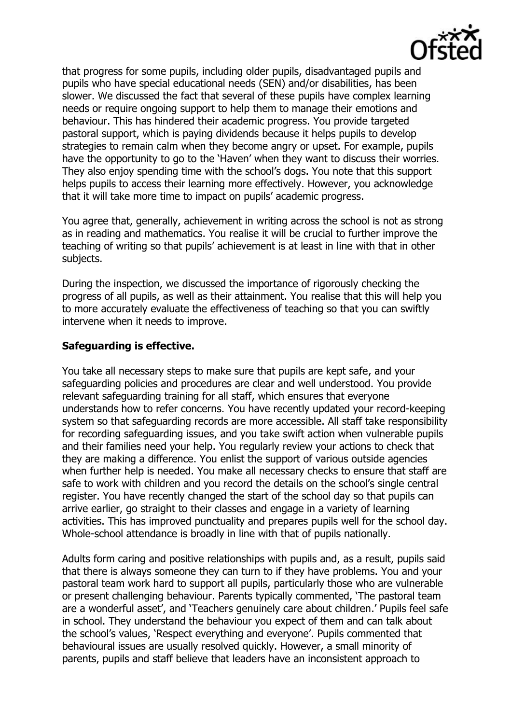

that progress for some pupils, including older pupils, disadvantaged pupils and pupils who have special educational needs (SEN) and/or disabilities, has been slower. We discussed the fact that several of these pupils have complex learning needs or require ongoing support to help them to manage their emotions and behaviour. This has hindered their academic progress. You provide targeted pastoral support, which is paying dividends because it helps pupils to develop strategies to remain calm when they become angry or upset. For example, pupils have the opportunity to go to the 'Haven' when they want to discuss their worries. They also enjoy spending time with the school's dogs. You note that this support helps pupils to access their learning more effectively. However, you acknowledge that it will take more time to impact on pupils' academic progress.

You agree that, generally, achievement in writing across the school is not as strong as in reading and mathematics. You realise it will be crucial to further improve the teaching of writing so that pupils' achievement is at least in line with that in other subjects.

During the inspection, we discussed the importance of rigorously checking the progress of all pupils, as well as their attainment. You realise that this will help you to more accurately evaluate the effectiveness of teaching so that you can swiftly intervene when it needs to improve.

## **Safeguarding is effective.**

You take all necessary steps to make sure that pupils are kept safe, and your safeguarding policies and procedures are clear and well understood. You provide relevant safeguarding training for all staff, which ensures that everyone understands how to refer concerns. You have recently updated your record-keeping system so that safeguarding records are more accessible. All staff take responsibility for recording safeguarding issues, and you take swift action when vulnerable pupils and their families need your help. You regularly review your actions to check that they are making a difference. You enlist the support of various outside agencies when further help is needed. You make all necessary checks to ensure that staff are safe to work with children and you record the details on the school's single central register. You have recently changed the start of the school day so that pupils can arrive earlier, go straight to their classes and engage in a variety of learning activities. This has improved punctuality and prepares pupils well for the school day. Whole-school attendance is broadly in line with that of pupils nationally.

Adults form caring and positive relationships with pupils and, as a result, pupils said that there is always someone they can turn to if they have problems. You and your pastoral team work hard to support all pupils, particularly those who are vulnerable or present challenging behaviour. Parents typically commented, 'The pastoral team are a wonderful asset', and 'Teachers genuinely care about children.' Pupils feel safe in school. They understand the behaviour you expect of them and can talk about the school's values, 'Respect everything and everyone'. Pupils commented that behavioural issues are usually resolved quickly. However, a small minority of parents, pupils and staff believe that leaders have an inconsistent approach to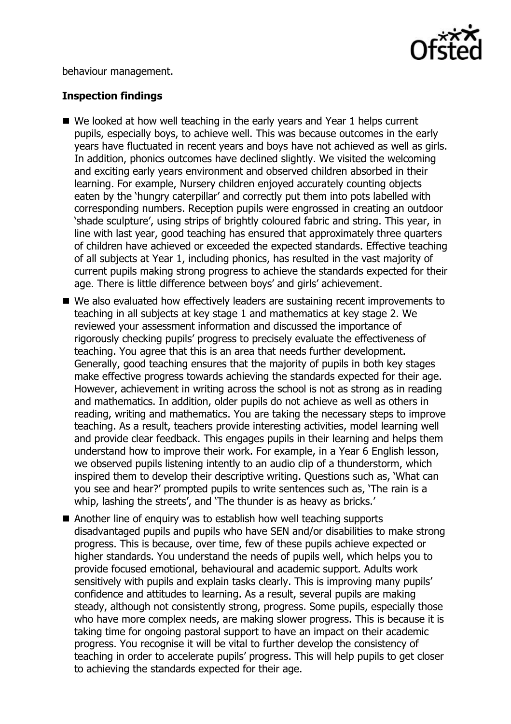

behaviour management.

# **Inspection findings**

- We looked at how well teaching in the early years and Year 1 helps current pupils, especially boys, to achieve well. This was because outcomes in the early years have fluctuated in recent years and boys have not achieved as well as girls. In addition, phonics outcomes have declined slightly. We visited the welcoming and exciting early years environment and observed children absorbed in their learning. For example, Nursery children enjoyed accurately counting objects eaten by the 'hungry caterpillar' and correctly put them into pots labelled with corresponding numbers. Reception pupils were engrossed in creating an outdoor 'shade sculpture', using strips of brightly coloured fabric and string. This year, in line with last year, good teaching has ensured that approximately three quarters of children have achieved or exceeded the expected standards. Effective teaching of all subjects at Year 1, including phonics, has resulted in the vast majority of current pupils making strong progress to achieve the standards expected for their age. There is little difference between boys' and girls' achievement.
- We also evaluated how effectively leaders are sustaining recent improvements to teaching in all subjects at key stage 1 and mathematics at key stage 2. We reviewed your assessment information and discussed the importance of rigorously checking pupils' progress to precisely evaluate the effectiveness of teaching. You agree that this is an area that needs further development. Generally, good teaching ensures that the majority of pupils in both key stages make effective progress towards achieving the standards expected for their age. However, achievement in writing across the school is not as strong as in reading and mathematics. In addition, older pupils do not achieve as well as others in reading, writing and mathematics. You are taking the necessary steps to improve teaching. As a result, teachers provide interesting activities, model learning well and provide clear feedback. This engages pupils in their learning and helps them understand how to improve their work. For example, in a Year 6 English lesson, we observed pupils listening intently to an audio clip of a thunderstorm, which inspired them to develop their descriptive writing. Questions such as, 'What can you see and hear?' prompted pupils to write sentences such as, 'The rain is a whip, lashing the streets', and 'The thunder is as heavy as bricks.'
- Another line of enquiry was to establish how well teaching supports disadvantaged pupils and pupils who have SEN and/or disabilities to make strong progress. This is because, over time, few of these pupils achieve expected or higher standards. You understand the needs of pupils well, which helps you to provide focused emotional, behavioural and academic support. Adults work sensitively with pupils and explain tasks clearly. This is improving many pupils' confidence and attitudes to learning. As a result, several pupils are making steady, although not consistently strong, progress. Some pupils, especially those who have more complex needs, are making slower progress. This is because it is taking time for ongoing pastoral support to have an impact on their academic progress. You recognise it will be vital to further develop the consistency of teaching in order to accelerate pupils' progress. This will help pupils to get closer to achieving the standards expected for their age.